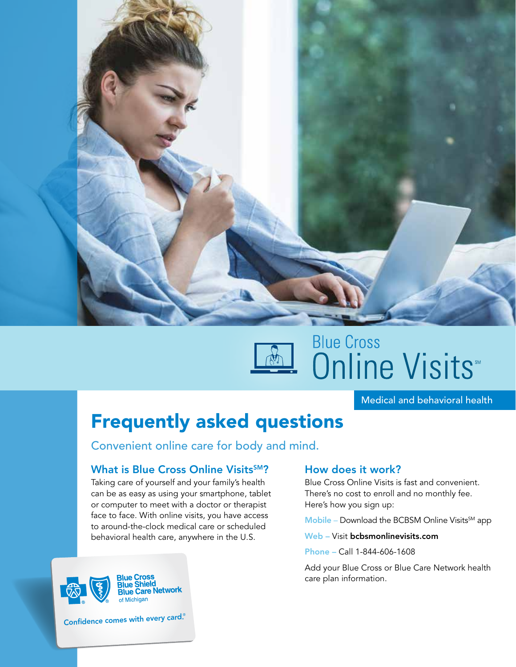

# **Blue Cross** Online Visits

Medical and behavioral health

# Frequently asked questions

Convenient online care for body and mind.

# What is Blue Cross Online Visits<sup>SM</sup>?

Taking care of yourself and your family's health can be as easy as using your smartphone, tablet or computer to meet with a doctor or therapist face to face. With online visits, you have access to around-the-clock medical care or scheduled behavioral health care, anywhere in the U.S.



Confidence comes with every card.®

# How does it work?

Blue Cross Online Visits is fast and convenient. There's no cost to enroll and no monthly fee. Here's how you sign up:

 $$ 

Web – Visit bcbsmonlinevisits.com

Phone – Call 1-844-606-1608

Add your Blue Cross or Blue Care Network health care plan information.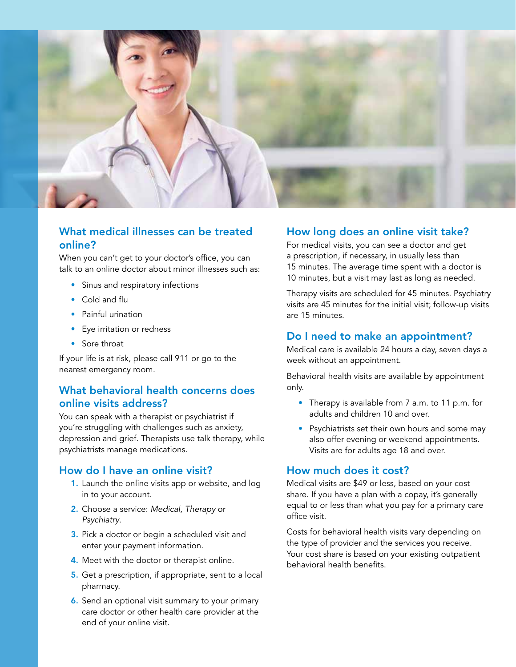

# What medical illnesses can be treated online?

When you can't get to your doctor's office, you can talk to an online doctor about minor illnesses such as:

- Sinus and respiratory infections
- Cold and flu
- Painful urination
- Eye irritation or redness
- Sore throat

If your life is at risk, please call 911 or go to the nearest emergency room.

# What behavioral health concerns does online visits address?

You can speak with a therapist or psychiatrist if you're struggling with challenges such as anxiety, depression and grief. Therapists use talk therapy, while psychiatrists manage medications.

#### How do I have an online visit?

- 1. Launch the online visits app or website, and log in to your account.
- 2. Choose a service: *Medical, Therapy* or *Psychiatry*.
- 3. Pick a doctor or begin a scheduled visit and enter your payment information.
- 4. Meet with the doctor or therapist online.
- 5. Get a prescription, if appropriate, sent to a local pharmacy.
- 6. Send an optional visit summary to your primary care doctor or other health care provider at the end of your online visit.

#### How long does an online visit take?

For medical visits, you can see a doctor and get a prescription, if necessary, in usually less than 15 minutes. The average time spent with a doctor is 10 minutes, but a visit may last as long as needed.

Therapy visits are scheduled for 45 minutes. Psychiatry visits are 45 minutes for the initial visit; follow-up visits are 15 minutes.

#### Do I need to make an appointment?

Medical care is available 24 hours a day, seven days a week without an appointment.

Behavioral health visits are available by appointment only.

- Therapy is available from 7 a.m. to 11 p.m. for adults and children 10 and over.
- Psychiatrists set their own hours and some may also offer evening or weekend appointments. Visits are for adults age 18 and over.

#### How much does it cost?

Medical visits are \$49 or less, based on your cost share. If you have a plan with a copay, it's generally equal to or less than what you pay for a primary care office visit.

Costs for behavioral health visits vary depending on the type of provider and the services you receive. Your cost share is based on your existing outpatient behavioral health benefits.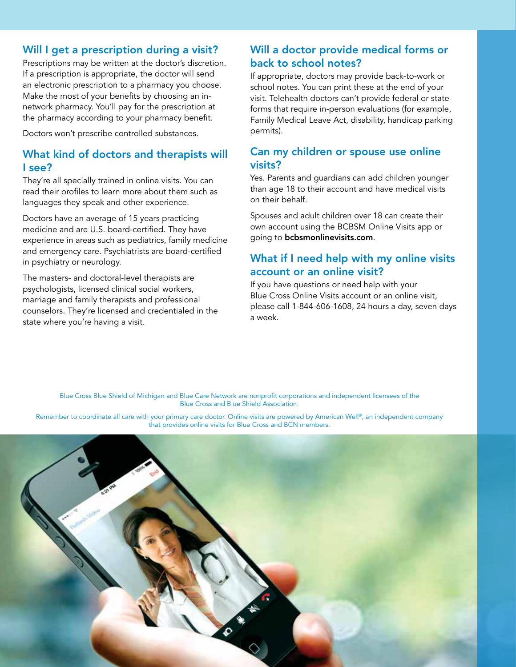# Will I get a prescription during a visit?

Prescriptions may be written at the doctor's discretion. If a prescription is appropriate, the doctor will send an electronic prescription to a pharmacy you choose. Make the most of your benefits by choosing an innetwork pharmacy. You'll pay for the prescription at the pharmacy according to your pharmacy benefit.

Doctors won't prescribe controlled substances.

# What kind of doctors and therapists will I see?

They're all specially trained in online visits. You can read their profiles to learn more about them such as languages they speak and other experience.

Doctors have an average of 15 years practicing medicine and are U.S. board-certified. They have experience in areas such as pediatrics, family medicine and emergency care. Psychiatrists are board-certified in psychiatry or neurology.

The masters- and doctoral-level therapists are psychologists, licensed clinical social workers, marriage and family therapists and professional counselors. They're licensed and credentialed in the state where you're having a visit.

# Will a doctor provide medical forms or back to school notes?

If appropriate, doctors may provide back-to-work or school notes. You can print these at the end of your visit. Telehealth doctors can't provide federal or state forms that require in-person evaluations (for example, Family Medical Leave Act, disability, handicap parking permits).

# Can my children or spouse use online visits?

Yes. Parents and guardians can add children younger than age 18 to their account and have medical visits on their behalf.

Spouses and adult children over 18 can create their own account using the BCBSM Online Visits app or going to bcbsmonlinevisits.com.

# What if I need help with my online visits account or an online visit?

If you have questions or need help with your Blue Cross Online Visits account or an online visit, please call 1-844-606-1608, 24 hours a day, seven days a week.

Blue Cross Blue Shield of Michigan and Blue Care Network are nonprofit corporations and independent licensees of the Blue Cross and Blue Shield Association.

Remember to coordinate all care with your primary care doctor. Online visits are powered by American Well®, an independent company that provides online visits for Blue Cross and BCN members.